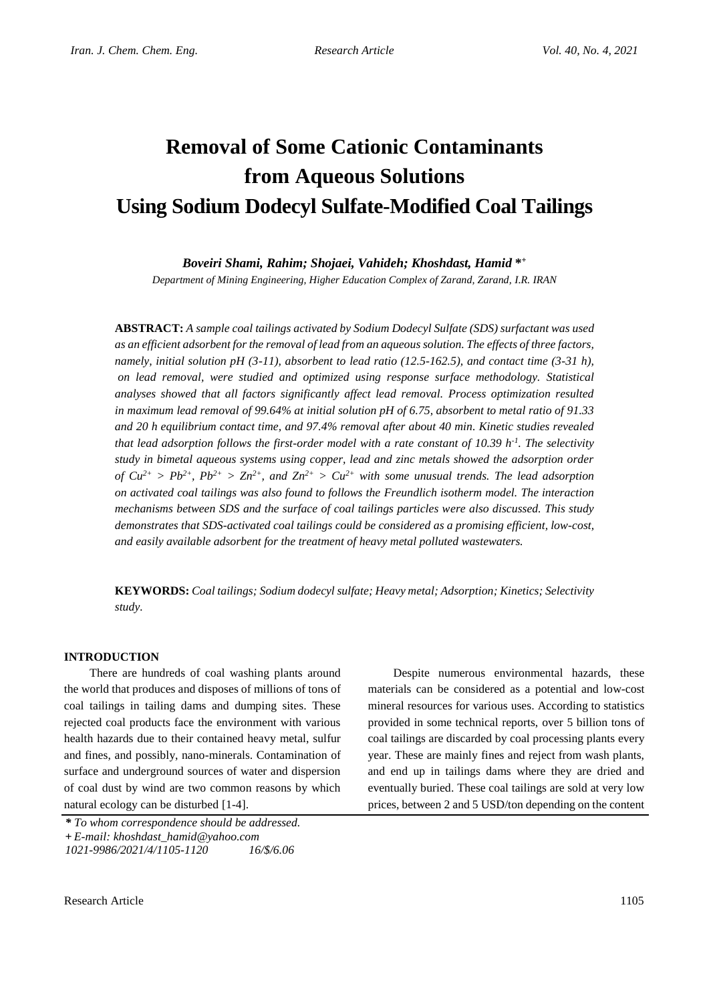# **Removal of Some Cationic Contaminants from Aqueous Solutions Using Sodium Dodecyl Sulfate-Modified Coal Tailings**

*Boveiri Shami, Rahim; Shojaei, Vahideh; Khoshdast, Hamid* **\* +**

*Department of Mining Engineering, Higher Education Complex of Zarand, Zarand, I.R. IRAN*

**ABSTRACT:** *A sample coal tailings activated by Sodium Dodecyl Sulfate (SDS) surfactant was used as an efficient adsorbent for the removal of lead from an aqueous solution. The effects of three factors, namely, initial solution pH (3-11), absorbent to lead ratio (12.5-162.5), and contact time (3-31 h), on lead removal, were studied and optimized using response surface methodology. Statistical analyses showed that all factors significantly affect lead removal. Process optimization resulted in maximum lead removal of 99.64% at initial solution pH of 6.75, absorbent to metal ratio of 91.33 and 20 h equilibrium contact time, and 97.4% removal after about 40 min. Kinetic studies revealed that lead adsorption follows the first-order model with a rate constant of 10.39 h-1 . The selectivity study in bimetal aqueous systems using copper, lead and zinc metals showed the adsorption order of*  $Cu^{2+} > Pb^{2+}$ ,  $Pb^{2+} > Zn^{2+}$ , and  $Zn^{2+} > Cu^{2+}$  with some unusual trends. The lead adsorption *on activated coal tailings was also found to follows the Freundlich isotherm model. The interaction mechanisms between SDS and the surface of coal tailings particles were also discussed. This study demonstrates that SDS-activated coal tailings could be considered as a promising efficient, low-cost, and easily available adsorbent for the treatment of heavy metal polluted wastewaters.*

**KEYWORDS:** *Coal tailings; Sodium dodecyl sulfate; Heavy metal; Adsorption; Kinetics; Selectivity study.*

## **INTRODUCTION**

There are hundreds of coal washing plants around the world that produces and disposes of millions of tons of coal tailings in tailing dams and dumping sites. These rejected coal products face the environment with various health hazards due to their contained heavy metal, sulfur and fines, and possibly, nano-minerals. Contamination of surface and underground sources of water and dispersion of coal dust by wind are two common reasons by which natural ecology can be disturbed [1-4].

Despite numerous environmental hazards, these materials can be considered as a potential and low-cost mineral resources for various uses. According to statistics provided in some technical reports, over 5 billion tons of coal tailings are discarded by coal processing plants every year. These are mainly fines and reject from wash plants, and end up in tailings dams where they are dried and eventually buried. These coal tailings are sold at very low prices, between 2 and 5 USD/ton depending on the content

*<sup>\*</sup> To whom correspondence should be addressed.* **+** *E-mail: khoshdast\_hamid@yahoo.com 1021-9986/2021/4/1105-1120 16/\$/6.06*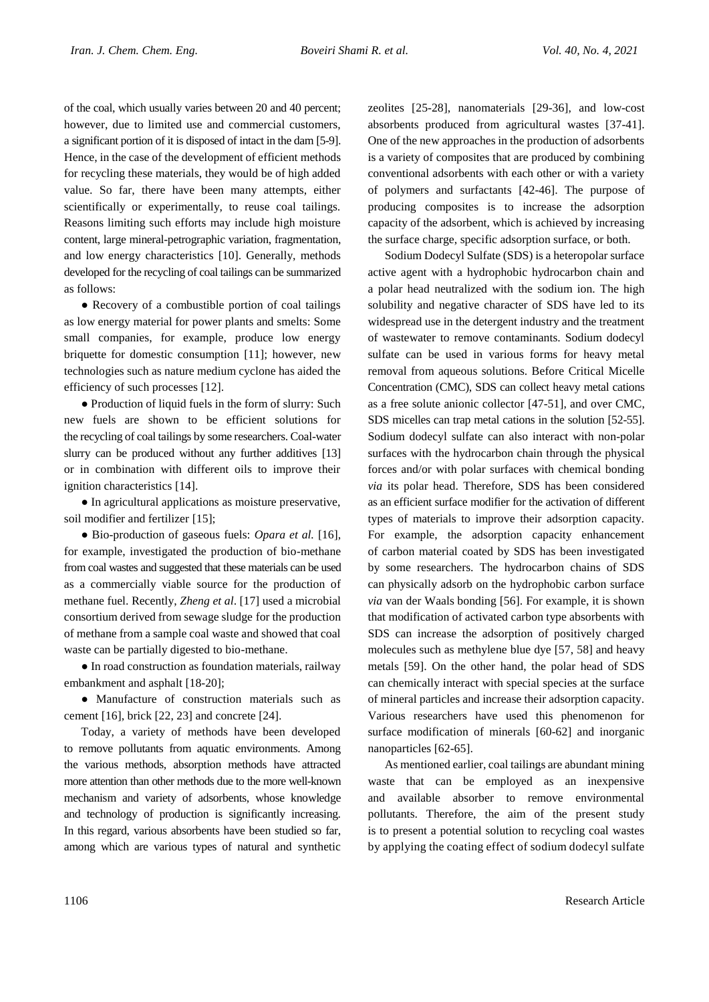of the coal, which usually varies between 20 and 40 percent; however, due to limited use and commercial customers, a significant portion of it is disposed of intact in the dam [5-9]. Hence, in the case of the development of efficient methods for recycling these materials, they would be of high added value. So far, there have been many attempts, either scientifically or experimentally, to reuse coal tailings. Reasons limiting such efforts may include high moisture content, large mineral-petrographic variation, fragmentation, and low energy characteristics [10]. Generally, methods developed for the recycling of coal tailings can be summarized as follows:

● Recovery of a combustible portion of coal tailings as low energy material for power plants and smelts: Some small companies, for example, produce low energy briquette for domestic consumption [11]; however, new technologies such as nature medium cyclone has aided the efficiency of such processes [12].

• Production of liquid fuels in the form of slurry: Such new fuels are shown to be efficient solutions for the recycling of coal tailings by some researchers. Coal-water slurry can be produced without any further additives [13] or in combination with different oils to improve their ignition characteristics [14].

● In agricultural applications as moisture preservative, soil modifier and fertilizer [15];

● Bio-production of gaseous fuels: *Opara et al.* [16], for example, investigated the production of bio-methane from coal wastes and suggested that these materials can be used as a commercially viable source for the production of methane fuel. Recently, *Zheng et al*. [17] used a microbial consortium derived from sewage sludge for the production of methane from a sample coal waste and showed that coal waste can be partially digested to bio-methane.

● In road construction as foundation materials, railway embankment and asphalt [18-20];

● Manufacture of construction materials such as cement [16], brick [22, 23] and concrete [24].

Today, a variety of methods have been developed to remove pollutants from aquatic environments. Among the various methods, absorption methods have attracted more attention than other methods due to the more well-known mechanism and variety of adsorbents, whose knowledge and technology of production is significantly increasing. In this regard, various absorbents have been studied so far, among which are various types of natural and synthetic zeolites [25-28], nanomaterials [29-36], and low-cost absorbents produced from agricultural wastes [37-41]. One of the new approaches in the production of adsorbents is a variety of composites that are produced by combining conventional adsorbents with each other or with a variety of polymers and surfactants [42-46]. The purpose of producing composites is to increase the adsorption capacity of the adsorbent, which is achieved by increasing the surface charge, specific adsorption surface, or both.

Sodium Dodecyl Sulfate (SDS) is a heteropolar surface active agent with a hydrophobic hydrocarbon chain and a polar head neutralized with the sodium ion. The high solubility and negative character of SDS have led to its widespread use in the detergent industry and the treatment of wastewater to remove contaminants. Sodium dodecyl sulfate can be used in various forms for heavy metal removal from aqueous solutions. Before Critical Micelle Concentration (CMC), SDS can collect heavy metal cations as a free solute anionic collector [47-51], and over CMC, SDS micelles can trap metal cations in the solution [52-55]. Sodium dodecyl sulfate can also interact with non-polar surfaces with the hydrocarbon chain through the physical forces and/or with polar surfaces with chemical bonding *via* its polar head. Therefore, SDS has been considered as an efficient surface modifier for the activation of different types of materials to improve their adsorption capacity. For example, the adsorption capacity enhancement of carbon material coated by SDS has been investigated by some researchers. The hydrocarbon chains of SDS can physically adsorb on the hydrophobic carbon surface *via* van der Waals bonding [56]. For example, it is shown that modification of activated carbon type absorbents with SDS can increase the adsorption of positively charged molecules such as methylene blue dye [57, 58] and heavy metals [59]. On the other hand, the polar head of SDS can chemically interact with special species at the surface of mineral particles and increase their adsorption capacity. Various researchers have used this phenomenon for surface modification of minerals [60-62] and inorganic nanoparticles [62-65].

As mentioned earlier, coal tailings are abundant mining waste that can be employed as an inexpensive and available absorber to remove environmental pollutants. Therefore, the aim of the present study is to present a potential solution to recycling coal wastes by applying the coating effect of sodium dodecyl sulfate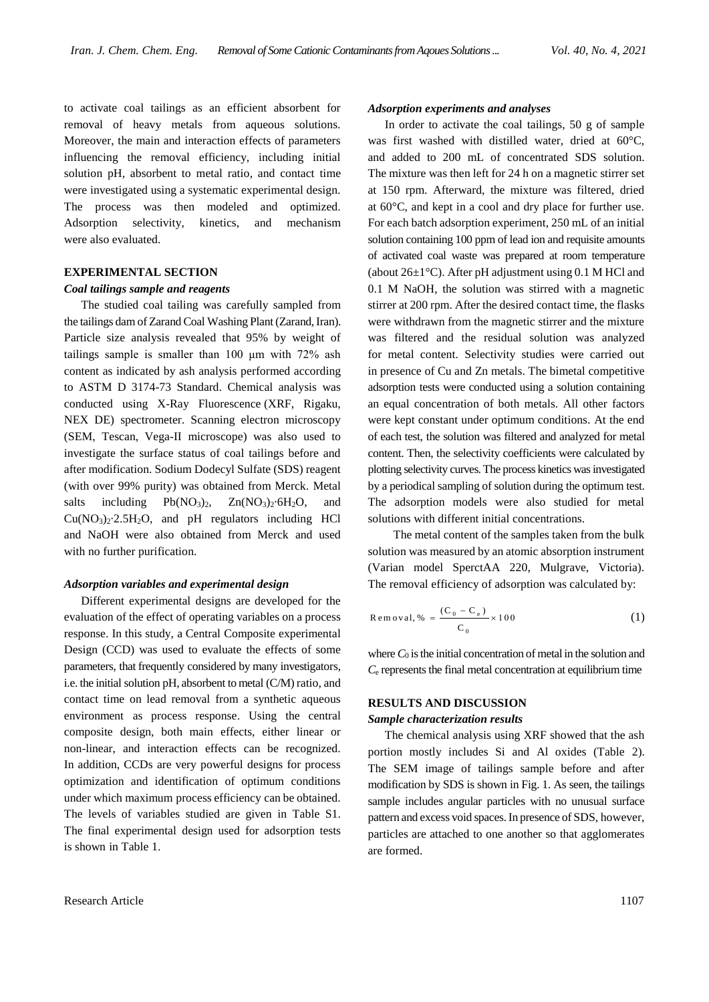to activate coal tailings as an efficient absorbent for removal of heavy metals from aqueous solutions. Moreover, the main and interaction effects of parameters influencing the removal efficiency, including initial solution pH, absorbent to metal ratio, and contact time were investigated using a systematic experimental design. The process was then modeled and optimized. Adsorption selectivity, kinetics, and mechanism were also evaluated.

# **EXPERIMENTAL SECTION**

#### *Coal tailings sample and reagents*

The studied coal tailing was carefully sampled from the tailings dam of Zarand Coal Washing Plant (Zarand, Iran). Particle size analysis revealed that 95% by weight of tailings sample is smaller than 100 μm with 72% ash content as indicated by ash analysis performed according to ASTM D 3174-73 Standard. Chemical analysis was conducted using X-Ray Fluorescence (XRF, Rigaku, NEX DE) spectrometer. Scanning electron microscopy (SEM, Tescan, Vega-II microscope) was also used to investigate the surface status of coal tailings before and after modification. Sodium Dodecyl Sulfate (SDS) reagent (with over 99% purity) was obtained from Merck. Metal salts including  $Pb(NO_3)_2$ ,  $Zn(NO_3)_2.6H_2O$ , and  $Cu(NO<sub>3</sub>)<sub>2</sub>·2.5H<sub>2</sub>O$ , and pH regulators including HCl and NaOH were also obtained from Merck and used with no further purification.

## *Adsorption variables and experimental design*

Different experimental designs are developed for the evaluation of the effect of operating variables on a process response. In this study, a Central Composite experimental Design (CCD) was used to evaluate the effects of some parameters, that frequently considered by many investigators, i.e. the initial solution pH, absorbent to metal (C/M) ratio, and contact time on lead removal from a synthetic aqueous environment as process response. Using the central composite design, both main effects, either linear or non-linear, and interaction effects can be recognized. In addition, CCDs are very powerful designs for process optimization and identification of optimum conditions under which maximum process efficiency can be obtained. The levels of variables studied are given in Table S1. The final experimental design used for adsorption tests is shown in Table 1.

## *Adsorption experiments and analyses*

In order to activate the coal tailings, 50 g of sample was first washed with distilled water, dried at 60°C, and added to 200 mL of concentrated SDS solution. The mixture was then left for 24 h on a magnetic stirrer set at 150 rpm. Afterward, the mixture was filtered, dried at 60°C, and kept in a cool and dry place for further use. For each batch adsorption experiment, 250 mL of an initial solution containing 100 ppm of lead ion and requisite amounts of activated coal waste was prepared at room temperature (about  $26\pm1^{\circ}$ C). After pH adjustment using 0.1 M HCl and 0.1 M NaOH, the solution was stirred with a magnetic stirrer at 200 rpm. After the desired contact time, the flasks were withdrawn from the magnetic stirrer and the mixture was filtered and the residual solution was analyzed for metal content. Selectivity studies were carried out in presence of Cu and Zn metals. The bimetal competitive adsorption tests were conducted using a solution containing an equal concentration of both metals. All other factors were kept constant under optimum conditions. At the end of each test, the solution was filtered and analyzed for metal content. Then, the selectivity coefficients were calculated by plotting selectivity curves. The process kinetics was investigated by a periodical sampling of solution during the optimum test. The adsorption models were also studied for metal solutions with different initial concentrations.

The metal content of the samples taken from the bulk solution was measured by an atomic absorption instrument (Varian model SperctAA 220, Mulgrave, Victoria). The removal efficiency of adsorption was calculated by:

$$
Removal, \% = \frac{(C_0 - C_e)}{C_0} \times 100
$$
 (1)

where  $C_0$  is the initial concentration of metal in the solution and  $C_{e}$  represents the final metal concentration at equilibrium time

## **RESULTS AND DISCUSSION**

#### *Sample characterization results*

The chemical analysis using XRF showed that the ash portion mostly includes Si and Al oxides (Table 2). The SEM image of tailings sample before and after modification by SDS is shown in Fig. 1. As seen, the tailings sample includes angular particles with no unusual surface pattern and excess void spaces. In presence of SDS, however, particles are attached to one another so that agglomerates are formed.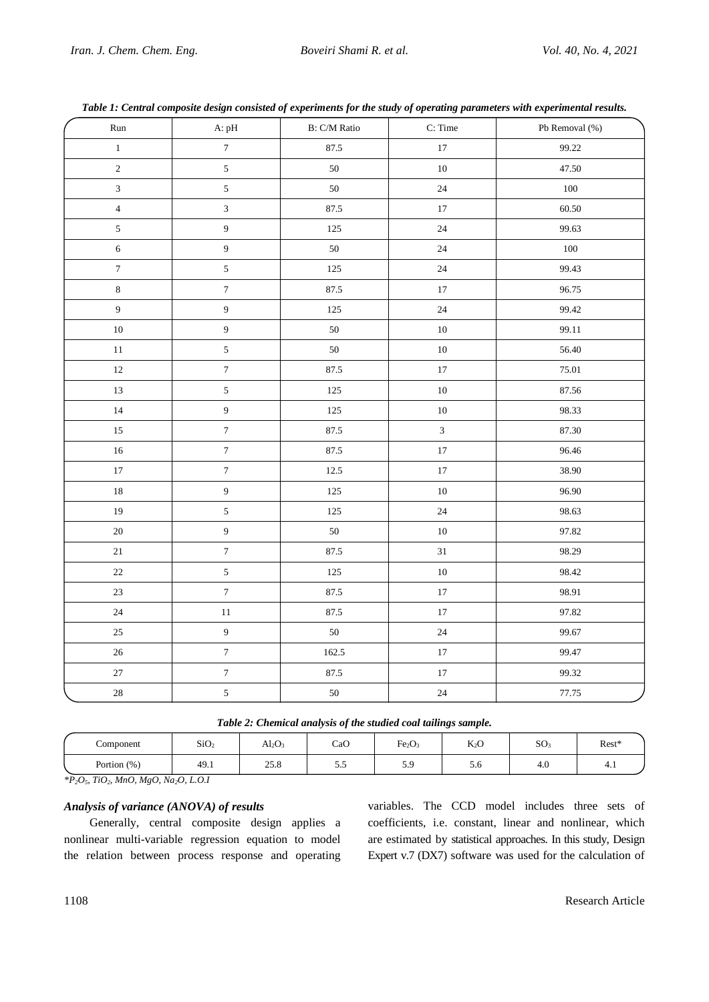| Run              | A: pH            | B: C/M Ratio | C: Time        | Pb Removal (%) |
|------------------|------------------|--------------|----------------|----------------|
| $\,1$            | $\boldsymbol{7}$ | 87.5         | $17\,$         | 99.22          |
| $\overline{c}$   | 5                | 50           | $10\,$         | 47.50          |
| $\overline{3}$   | $\sqrt{5}$       | $50\,$       | $24\,$         | 100            |
| $\overline{4}$   | $\mathfrak{Z}$   | 87.5         | $17\,$         | 60.50          |
| $\sqrt{5}$       | 9                | 125          | $24\,$         | 99.63          |
| $\sqrt{6}$       | 9                | $50\,$       | $24\,$         | $100\,$        |
| $\boldsymbol{7}$ | $\mathfrak{S}$   | 125          | $24\,$         | 99.43          |
| $\,8\,$          | $\boldsymbol{7}$ | 87.5         | $17\,$         | 96.75          |
| $\overline{9}$   | $\overline{9}$   | 125          | $24\,$         | 99.42          |
| $10\,$           | 9                | 50           | $10\,$         | 99.11          |
| 11               | 5                | 50           | $10\,$         | 56.40          |
| $12\,$           | $\boldsymbol{7}$ | 87.5         | $17\,$         | $75.01\,$      |
| 13               | $\mathfrak{S}$   | 125          | $10\,$         | 87.56          |
| 14               | $\overline{9}$   | 125          | $10\,$         | 98.33          |
| $15\,$           | $\boldsymbol{7}$ | 87.5         | $\overline{3}$ | 87.30          |
| 16               | $\boldsymbol{7}$ | 87.5         | $17\,$         | 96.46          |
| $17\,$           | $\boldsymbol{7}$ | 12.5         | $17\,$         | 38.90          |
| 18               | $\overline{9}$   | 125          | $10\,$         | 96.90          |
| 19               | $\sqrt{5}$       | 125          | 24             | 98.63          |
| $20\,$           | 9                | 50           | $10\,$         | 97.82          |
| $21\,$           | $\boldsymbol{7}$ | 87.5         | $31\,$         | 98.29          |
| $22\,$           | $\mathfrak{S}$   | 125          | $10\,$         | 98.42          |
| $23\,$           | $\boldsymbol{7}$ | 87.5         | $17\,$         | 98.91          |
| $24\,$           | $11\,$           | 87.5         | $17\,$         | 97.82          |
| $25\,$           | $\overline{9}$   | $50\,$       | $24\,$         | 99.67          |
| $26\,$           | $\boldsymbol{7}$ | 162.5        | $17\,$         | 99.47          |
| 27               | $\boldsymbol{7}$ | 87.5         | $17\,$         | 99.32          |
| $28\,$           | $\overline{5}$   | $50\,$       | $24\,$         | 77.75          |

*Table 1: Central composite design consisted of experiments for the study of operating parameters with experimental results.*

| Component      | SiO <sub>2</sub> | $Al_2O_2$ | CaO  | Fe <sub>2</sub> O <sub>3</sub> | $K_2O$ | SO <sub>2</sub> | Rest* |
|----------------|------------------|-----------|------|--------------------------------|--------|-----------------|-------|
| Portion $(\%)$ | 49.1             | 25.8      | ر. ر | 5.9                            | J.U    | 4.U             | 4.1   |

*\*P2O5, TiO2, MnO, MgO, Na2O, L.O.I*

# *Analysis of variance (ANOVA) of results*

Generally, central composite design applies a nonlinear multi-variable regression equation to model the relation between process response and operating

variables. The CCD model includes three sets of coefficients, i.e. constant, linear and nonlinear, which are estimated by statistical approaches. In this study, Design Expert v.7 (DX7) software was used for the calculation of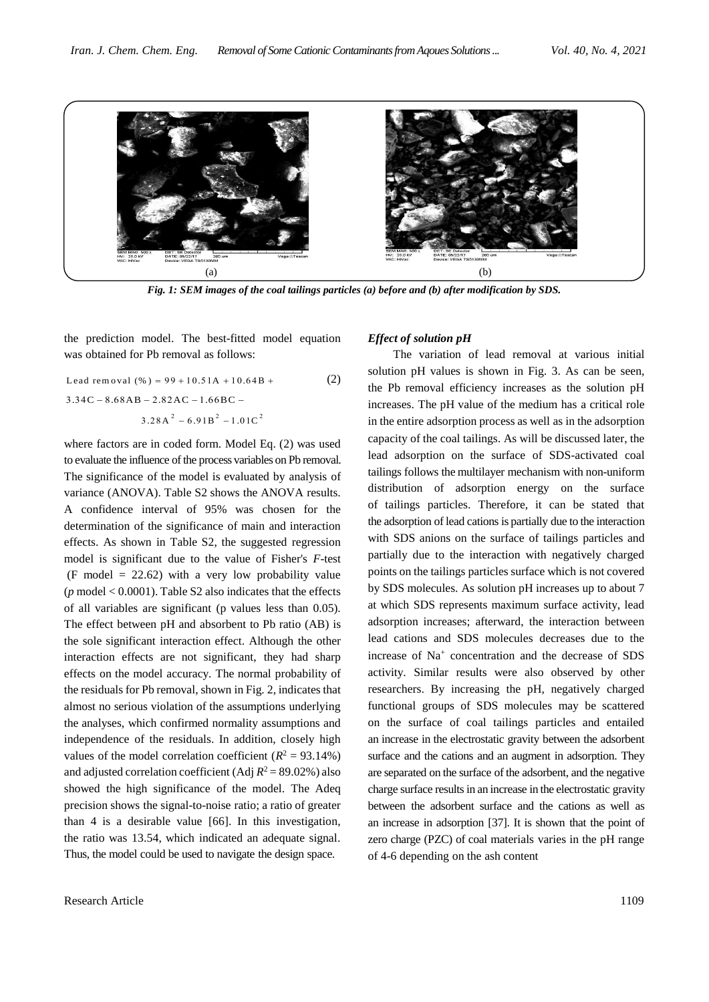

*Fig. 1: SEM images of the coal tailings particles (a) before and (b) after modification by SDS.*

the prediction model. The best-fitted model equation was obtained for Pb removal as follows:

Lead removal (
$$
%
$$
) = 99 + 10.51A + 10.64B +

\n3.34C - 8.68AB - 2.82AC - 1.66BC -

\n3.28A<sup>2</sup> - 6.91B<sup>2</sup> - 1.01C<sup>2</sup>

where factors are in coded form. Model Eq. (2) was used to evaluate the influence of the process variables on Pb removal. The significance of the model is evaluated by analysis of variance (ANOVA). Table S2 shows the ANOVA results. A confidence interval of 95% was chosen for the determination of the significance of main and interaction effects. As shown in Table S2, the suggested regression model is significant due to the value of Fisher's *F*-test (F model  $= 22.62$ ) with a very low probability value ( $p \text{ model} < 0.0001$ ). Table S2 also indicates that the effects of all variables are significant (p values less than 0.05). The effect between pH and absorbent to Pb ratio (AB) is the sole significant interaction effect. Although the other interaction effects are not significant, they had sharp effects on the model accuracy. The normal probability of the residuals for Pb removal, shown in Fig. 2, indicates that almost no serious violation of the assumptions underlying the analyses, which confirmed normality assumptions and independence of the residuals. In addition, closely high values of the model correlation coefficient  $(R^2 = 93.14\%)$ and adjusted correlation coefficient (Adj  $R^2 = 89.02\%$ ) also showed the high significance of the model. The Adeq precision shows the signal-to-noise ratio; a ratio of greater than 4 is a desirable value [66]. In this investigation, the ratio was 13.54, which indicated an adequate signal. Thus, the model could be used to navigate the design space.

#### *Effect of solution pH*

The variation of lead removal at various initial solution pH values is shown in Fig. 3. As can be seen, the Pb removal efficiency increases as the solution pH increases. The pH value of the medium has a critical role in the entire adsorption process as well as in the adsorption capacity of the coal tailings. As will be discussed later, the lead adsorption on the surface of SDS-activated coal tailings follows the multilayer mechanism with non-uniform distribution of adsorption energy on the surface of tailings particles. Therefore, it can be stated that the adsorption of lead cations is partially due to the interaction with SDS anions on the surface of tailings particles and partially due to the interaction with negatively charged points on the tailings particles surface which is not covered by SDS molecules. As solution pH increases up to about 7 at which SDS represents maximum surface activity, lead adsorption increases; afterward, the interaction between lead cations and SDS molecules decreases due to the increase of Na<sup>+</sup> concentration and the decrease of SDS activity. Similar results were also observed by other researchers. By increasing the pH, negatively charged functional groups of SDS molecules may be scattered on the surface of coal tailings particles and entailed an increase in the electrostatic gravity between the adsorbent surface and the cations and an augment in adsorption. They are separated on the surface of the adsorbent, and the negative charge surface results in an increase in the electrostatic gravity between the adsorbent surface and the cations as well as an increase in adsorption [37]. It is shown that the point of zero charge (PZC) of coal materials varies in the pH range of 4-6 depending on the ash content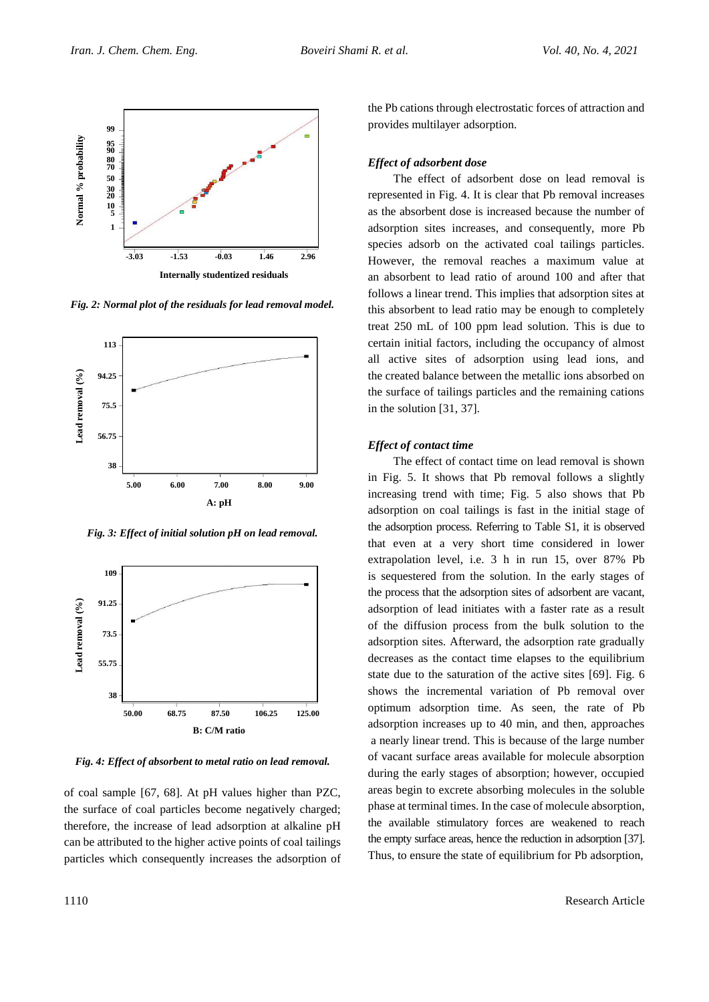

*Fig. 2: Normal plot of the residuals for lead removal model.*



*Fig. 3: Effect of initial solution pH on lead removal.*



*Fig. 4: Effect of absorbent to metal ratio on lead removal.*

of coal sample [67, 68]. At pH values higher than PZC, the surface of coal particles become negatively charged; therefore, the increase of lead adsorption at alkaline pH can be attributed to the higher active points of coal tailings particles which consequently increases the adsorption of the Pb cations through electrostatic forces of attraction and provides multilayer adsorption.

#### *Effect of adsorbent dose*

The effect of adsorbent dose on lead removal is represented in Fig. 4. It is clear that Pb removal increases as the absorbent dose is increased because the number of adsorption sites increases, and consequently, more Pb species adsorb on the activated coal tailings particles. However, the removal reaches a maximum value at an absorbent to lead ratio of around 100 and after that follows a linear trend. This implies that adsorption sites at this absorbent to lead ratio may be enough to completely treat 250 mL of 100 ppm lead solution. This is due to certain initial factors, including the occupancy of almost all active sites of adsorption using lead ions, and the created balance between the metallic ions absorbed on the surface of tailings particles and the remaining cations in the solution [31, 37].

## *Effect of contact time*

The effect of contact time on lead removal is shown in Fig. 5. It shows that Pb removal follows a slightly increasing trend with time; Fig. 5 also shows that Pb adsorption on coal tailings is fast in the initial stage of the adsorption process. Referring to Table S1, it is observed that even at a very short time considered in lower extrapolation level, i.e. 3 h in run 15, over 87% Pb is sequestered from the solution. In the early stages of the process that the adsorption sites of adsorbent are vacant, adsorption of lead initiates with a faster rate as a result of the diffusion process from the bulk solution to the adsorption sites. Afterward, the adsorption rate gradually decreases as the contact time elapses to the equilibrium state due to the saturation of the active sites [69]. Fig. 6 shows the incremental variation of Pb removal over optimum adsorption time. As seen, the rate of Pb adsorption increases up to 40 min, and then, approaches a nearly linear trend. This is because of the large number of vacant surface areas available for molecule absorption during the early stages of absorption; however, occupied areas begin to excrete absorbing molecules in the soluble phase at terminal times. In the case of molecule absorption, the available stimulatory forces are weakened to reach the empty surface areas, hence the reduction in adsorption [37]. Thus, to ensure the state of equilibrium for Pb adsorption,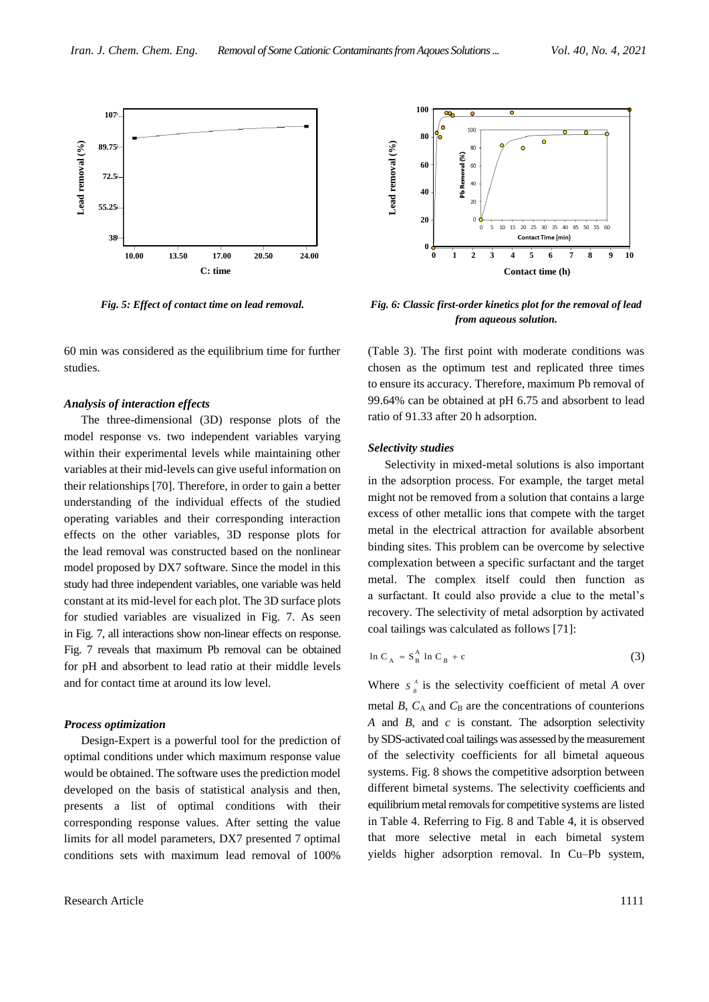

60 min was considered as the equilibrium time for further studies.

## *Analysis of interaction effects*

The three-dimensional (3D) response plots of the model response vs. two independent variables varying within their experimental levels while maintaining other variables at their mid-levels can give useful information on their relationships [70]. Therefore, in order to gain a better understanding of the individual effects of the studied operating variables and their corresponding interaction effects on the other variables, 3D response plots for the lead removal was constructed based on the nonlinear model proposed by DX7 software. Since the model in this study had three independent variables, one variable was held constant at its mid-level for each plot. The 3D surface plots for studied variables are visualized in Fig. 7. As seen in Fig. 7, all interactions show non-linear effects on response. Fig. 7 reveals that maximum Pb removal can be obtained for pH and absorbent to lead ratio at their middle levels and for contact time at around its low level.

#### *Process optimization*

Design-Expert is a powerful tool for the prediction of optimal conditions under which maximum response value would be obtained. The software uses the prediction model developed on the basis of statistical analysis and then, presents a list of optimal conditions with their corresponding response values. After setting the value limits for all model parameters, DX7 presented 7 optimal conditions sets with maximum lead removal of 100%



*Fig. 5: Effect of contact time on lead removal. Fig. 6: Classic first-order kinetics plot for the removal of lead from aqueous solution.*

(Table 3). The first point with moderate conditions was chosen as the optimum test and replicated three times to ensure its accuracy. Therefore, maximum Pb removal of 99.64% can be obtained at pH 6.75 and absorbent to lead ratio of 91.33 after 20 h adsorption.

# *Selectivity studies*

Selectivity in mixed-metal solutions is also important in the adsorption process. For example, the target metal might not be removed from a solution that contains a large excess of other metallic ions that compete with the target metal in the electrical attraction for available absorbent binding sites. This problem can be overcome by selective complexation between a specific surfactant and the target metal. The complex itself could then function as a surfactant. It could also provide a clue to the metal's recovery. The selectivity of metal adsorption by activated coal tailings was calculated as follows [71]:

$$
\ln C_A = S_B^A \ln C_B + c \tag{3}
$$

Where  $S_{B}^{A}$  is the selectivity coefficient of metal *A* over metal  $B$ ,  $C_A$  and  $C_B$  are the concentrations of counterions *A* and *B*, and *c* is constant. The adsorption selectivity by SDS-activated coal tailings was assessed by the measurement of the selectivity coefficients for all bimetal aqueous systems. Fig. 8 shows the competitive adsorption between different bimetal systems. The selectivity coefficients and equilibrium metal removals for competitive systems are listed in Table 4. Referring to Fig. 8 and Table 4, it is observed that more selective metal in each bimetal system yields higher adsorption removal. In Cu–Pb system,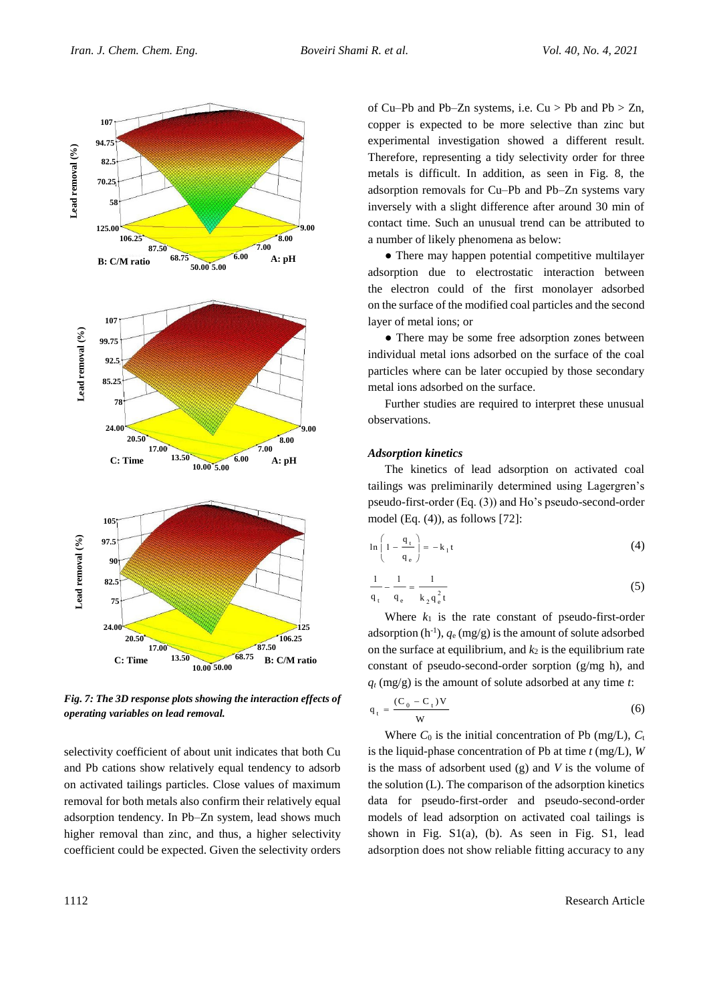

*Fig. 7: The 3D response plots showing the interaction effects of operating variables on lead removal.*

selectivity coefficient of about unit indicates that both Cu and Pb cations show relatively equal tendency to adsorb on activated tailings particles. Close values of maximum removal for both metals also confirm their relatively equal adsorption tendency. In Pb–Zn system, lead shows much higher removal than zinc, and thus, a higher selectivity coefficient could be expected. Given the selectivity orders of Cu–Pb and Pb–Zn systems, i.e.  $Cu > Pb$  and Pb  $> Zn$ , copper is expected to be more selective than zinc but experimental investigation showed a different result. Therefore, representing a tidy selectivity order for three metals is difficult. In addition, as seen in Fig. 8, the adsorption removals for Cu–Pb and Pb–Zn systems vary inversely with a slight difference after around 30 min of contact time. Such an unusual trend can be attributed to a number of likely phenomena as below:

• There may happen potential competitive multilayer adsorption due to electrostatic interaction between the electron could of the first monolayer adsorbed on the surface of the modified coal particles and the second layer of metal ions; or

• There may be some free adsorption zones between individual metal ions adsorbed on the surface of the coal particles where can be later occupied by those secondary metal ions adsorbed on the surface.

Further studies are required to interpret these unusual observations.

## *Adsorption kinetics*

The kinetics of lead adsorption on activated coal tailings was preliminarily determined using Lagergren's pseudo-first-order (Eq. (3)) and Ho's pseudo-second-order model (Eq. (4)), as follows [72]:

$$
\ln\left(1-\frac{q_t}{q_e}\right) = -k_1t\tag{4}
$$

$$
\frac{1}{q_t} - \frac{1}{q_e} = \frac{1}{k_2 q_e^2 t}
$$
 (5)

Where  $k_1$  is the rate constant of pseudo-first-order adsorption  $(h^{-1})$ ,  $q_e$  (mg/g) is the amount of solute adsorbed on the surface at equilibrium, and  $k_2$  is the equilibrium rate constant of pseudo-second-order sorption (g/mg h), and  $q_t$  (mg/g) is the amount of solute adsorbed at any time *t*:

$$
q_t = \frac{(C_0 - C_t)V}{W}
$$
 (6)

Where  $C_0$  is the initial concentration of Pb (mg/L),  $C_t$ is the liquid-phase concentration of Pb at time *t* (mg/L), *W* is the mass of adsorbent used (g) and *V* is the volume of the solution (L). The comparison of the adsorption kinetics data for pseudo-first-order and pseudo-second-order models of lead adsorption on activated coal tailings is shown in Fig. S1(a), (b). As seen in Fig. S1, lead adsorption does not show reliable fitting accuracy to any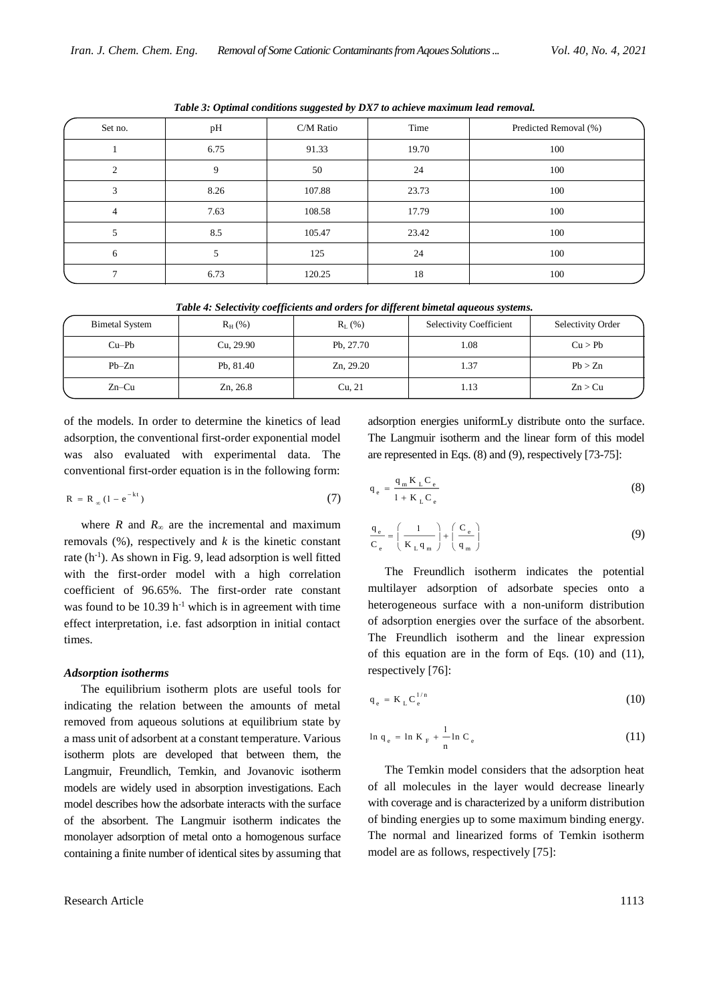| Set no.        | pH   | C/M Ratio | Time  | Predicted Removal (%) |
|----------------|------|-----------|-------|-----------------------|
|                | 6.75 | 91.33     | 19.70 | 100                   |
| $\overline{c}$ | 9    | 50        | 24    | 100                   |
| 3              | 8.26 | 107.88    | 23.73 | 100                   |
| $\overline{4}$ | 7.63 | 108.58    | 17.79 | 100                   |
| 5              | 8.5  | 105.47    | 23.42 | 100                   |
| 6              | 5    | 125       | 24    | 100                   |
| 7              | 6.73 | 120.25    | 18    | 100                   |

*Table 3: Optimal conditions suggested by DX7 to achieve maximum lead removal.*

|  |  | Table 4: Selectivity coefficients and orders for different bimetal aqueous systems. |
|--|--|-------------------------------------------------------------------------------------|
|  |  |                                                                                     |

| <b>Bimetal System</b> | $R_H$ (%) | $R_L$ (%) | <b>Selectivity Coefficient</b> | Selectivity Order |
|-----------------------|-----------|-----------|--------------------------------|-------------------|
| $Cu-Pb$               | Cu, 29.90 | Pb, 27.70 | 1.08                           | Cu > Pb           |
| $Pb-Zn$               | Pb, 81.40 | Zn, 29.20 | 1.37                           | Pb > Zn           |
| $Zn-Cu$               | Zn, 26.8  | Cu, 21    | 1.13                           | Zn > Cu           |

of the models. In order to determine the kinetics of lead adsorption, the conventional first-order exponential model was also evaluated with experimental data. The conventional first-order equation is in the following form:

$$
R = R_{\infty} (1 - e^{-kt})
$$
 (7)

where *R* and  $R_\infty$  are the incremental and maximum removals (%), respectively and *k* is the kinetic constant rate (h<sup>-1</sup>). As shown in Fig. 9, lead adsorption is well fitted with the first-order model with a high correlation coefficient of 96.65%. The first-order rate constant was found to be  $10.39$  h<sup>-1</sup> which is in agreement with time effect interpretation, i.e. fast adsorption in initial contact times.

#### *Adsorption isotherms*

The equilibrium isotherm plots are useful tools for indicating the relation between the amounts of metal removed from aqueous solutions at equilibrium state by a mass unit of adsorbent at a constant temperature. Various isotherm plots are developed that between them, the Langmuir, Freundlich, Temkin, and Jovanovic isotherm models are widely used in absorption investigations. Each model describes how the adsorbate interacts with the surface of the absorbent. The Langmuir isotherm indicates the monolayer adsorption of metal onto a homogenous surface containing a finite number of identical sites by assuming that adsorption energies uniformLy distribute onto the surface. The Langmuir isotherm and the linear form of this model are represented in Eqs. (8) and (9), respectively [73-75]:

$$
q_e = \frac{q_m K_L C_e}{1 + K_L C_e}
$$
 (8)

$$
\frac{q_e}{C_e} = \left(\frac{1}{K_L q_m}\right) + \left(\frac{C_e}{q_m}\right)
$$
\n(9)

The Freundlich isotherm indicates the potential multilayer adsorption of adsorbate species onto a heterogeneous surface with a non-uniform distribution of adsorption energies over the surface of the absorbent. The Freundlich isotherm and the linear expression of this equation are in the form of Eqs. (10) and (11), respectively [76]:

$$
q_e = K_L C_e^{1/n}
$$
 (10)

$$
\ln q_e = \ln K_F + \frac{1}{n} \ln C_e \tag{11}
$$

The Temkin model considers that the adsorption heat of all molecules in the layer would decrease linearly with coverage and is characterized by a uniform distribution of binding energies up to some maximum binding energy. The normal and linearized forms of Temkin isotherm model are as follows, respectively [75]: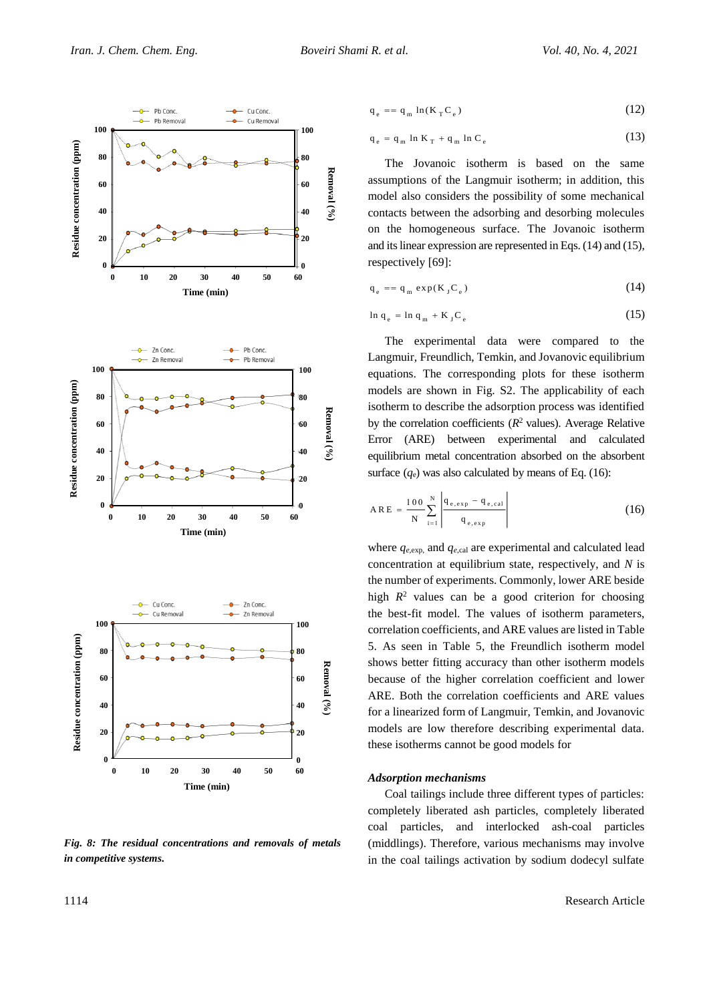

*Fig. 8: The residual concentrations and removals of metals in competitive systems.*

$$
q_e = q_m \ln(K_T C_e) \tag{12}
$$

$$
q_e = q_m \ln K_T + q_m \ln C_e \tag{13}
$$

The Jovanoic isotherm is based on the same assumptions of the Langmuir isotherm; in addition, this model also considers the possibility of some mechanical contacts between the adsorbing and desorbing molecules on the homogeneous surface. The Jovanoic isotherm and its linear expression are represented in Eqs. (14) and (15), respectively [69]:

$$
q_e = q_m \exp(K_J C_e) \tag{14}
$$

$$
\ln q_e = \ln q_m + K_J C_e \tag{15}
$$

The experimental data were compared to the Langmuir, Freundlich, Temkin, and Jovanovic equilibrium equations. The corresponding plots for these isotherm models are shown in Fig. S2. The applicability of each isotherm to describe the adsorption process was identified by the correlation coefficients  $(R^2 \text{ values})$ . Average Relative Error (ARE) between experimental and calculated equilibrium metal concentration absorbed on the absorbent surface  $(q_e)$  was also calculated by means of Eq. (16):

$$
A \, R \, E = \frac{100}{N} \sum_{i=1}^{N} \left| \frac{q_{e, exp} - q_{e, cal}}{q_{e, exp}} \right| \tag{16}
$$

where  $q_{e,exp}$ , and  $q_{e,cal}$  are experimental and calculated lead concentration at equilibrium state, respectively, and *N* is the number of experiments. Commonly, lower ARE beside high  $R^2$  values can be a good criterion for choosing the best-fit model. The values of isotherm parameters, correlation coefficients, and ARE values are listed in Table 5. As seen in Table 5, the Freundlich isotherm model shows better fitting accuracy than other isotherm models because of the higher correlation coefficient and lower ARE. Both the correlation coefficients and ARE values for a linearized form of Langmuir, Temkin, and Jovanovic models are low therefore describing experimental data. these isotherms cannot be good models for

### *Adsorption mechanisms*

Coal tailings include three different types of particles: completely liberated ash particles, completely liberated coal particles, and interlocked ash-coal particles (middlings). Therefore, various mechanisms may involve in the coal tailings activation by sodium dodecyl sulfate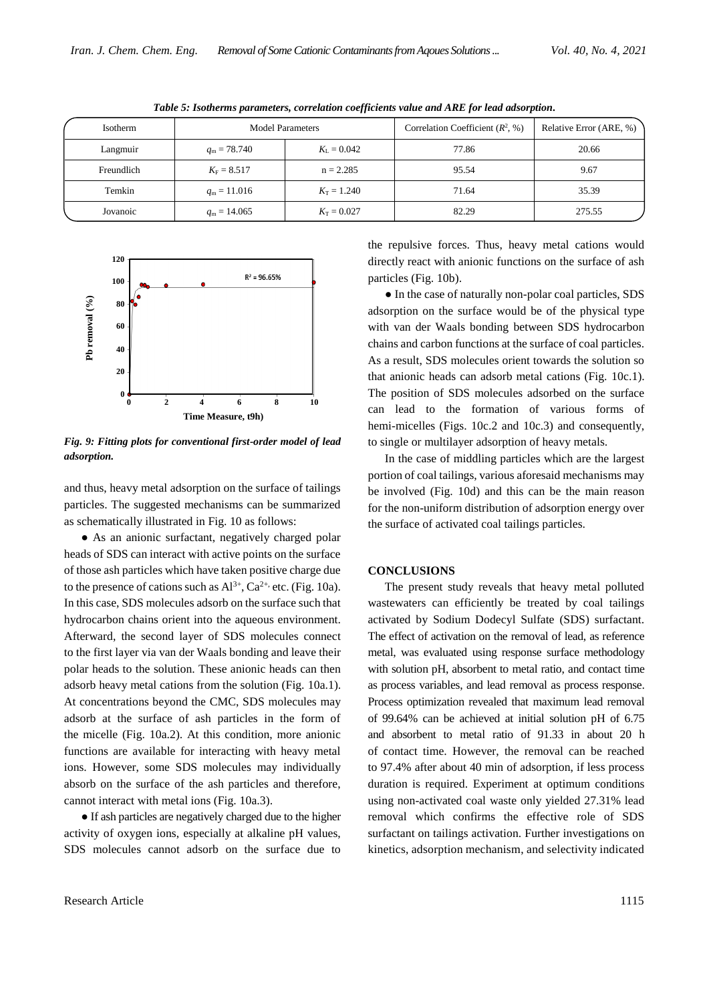| Isotherm   | <b>Model Parameters</b> |                     | Correlation Coefficient $(R^2, \%)$ | Relative Error (ARE, %) |
|------------|-------------------------|---------------------|-------------------------------------|-------------------------|
| Langmuir   | $q_{\rm m} = 78.740$    | $K_{\rm L} = 0.042$ | 77.86                               | 20.66                   |
| Freundlich | $K_{\rm F} = 8.517$     | $n = 2.285$         | 95.54                               | 9.67                    |
| Temkin     | $q_{\rm m} = 11.016$    | $K_{\rm T} = 1.240$ | 71.64                               | 35.39                   |
| Jovanoic   | $q_{\rm m} = 14.065$    | $K_T = 0.027$       | 82.29                               | 275.55                  |

*Table 5: Isotherms parameters, correlation coefficients value and ARE for lead adsorption.*



*Fig. 9: Fitting plots for conventional first-order model of lead adsorption.*

and thus, heavy metal adsorption on the surface of tailings particles. The suggested mechanisms can be summarized as schematically illustrated in Fig. 10 as follows:

• As an anionic surfactant, negatively charged polar heads of SDS can interact with active points on the surface of those ash particles which have taken positive charge due to the presence of cations such as  $Al^{3+}$ ,  $Ca^{2+}$ , etc. (Fig. 10a). In this case, SDS molecules adsorb on the surface such that hydrocarbon chains orient into the aqueous environment. Afterward, the second layer of SDS molecules connect to the first layer via van der Waals bonding and leave their polar heads to the solution. These anionic heads can then adsorb heavy metal cations from the solution (Fig. 10a.1). At concentrations beyond the CMC, SDS molecules may adsorb at the surface of ash particles in the form of the micelle (Fig. 10a.2). At this condition, more anionic functions are available for interacting with heavy metal ions. However, some SDS molecules may individually absorb on the surface of the ash particles and therefore, cannot interact with metal ions (Fig. 10a.3).

● If ash particles are negatively charged due to the higher activity of oxygen ions, especially at alkaline pH values, SDS molecules cannot adsorb on the surface due to

the repulsive forces. Thus, heavy metal cations would directly react with anionic functions on the surface of ash particles (Fig. 10b).

● In the case of naturally non-polar coal particles, SDS adsorption on the surface would be of the physical type with van der Waals bonding between SDS hydrocarbon chains and carbon functions at the surface of coal particles. As a result, SDS molecules orient towards the solution so that anionic heads can adsorb metal cations (Fig. 10c.1). The position of SDS molecules adsorbed on the surface can lead to the formation of various forms of hemi-micelles (Figs. 10c.2 and 10c.3) and consequently, to single or multilayer adsorption of heavy metals.

In the case of middling particles which are the largest portion of coal tailings, various aforesaid mechanisms may be involved (Fig. 10d) and this can be the main reason for the non-uniform distribution of adsorption energy over the surface of activated coal tailings particles.

### **CONCLUSIONS**

The present study reveals that heavy metal polluted wastewaters can efficiently be treated by coal tailings activated by Sodium Dodecyl Sulfate (SDS) surfactant. The effect of activation on the removal of lead, as reference metal, was evaluated using response surface methodology with solution pH, absorbent to metal ratio, and contact time as process variables, and lead removal as process response. Process optimization revealed that maximum lead removal of 99.64% can be achieved at initial solution pH of 6.75 and absorbent to metal ratio of 91.33 in about 20 h of contact time. However, the removal can be reached to 97.4% after about 40 min of adsorption, if less process duration is required. Experiment at optimum conditions using non-activated coal waste only yielded 27.31% lead removal which confirms the effective role of SDS surfactant on tailings activation. Further investigations on kinetics, adsorption mechanism, and selectivity indicated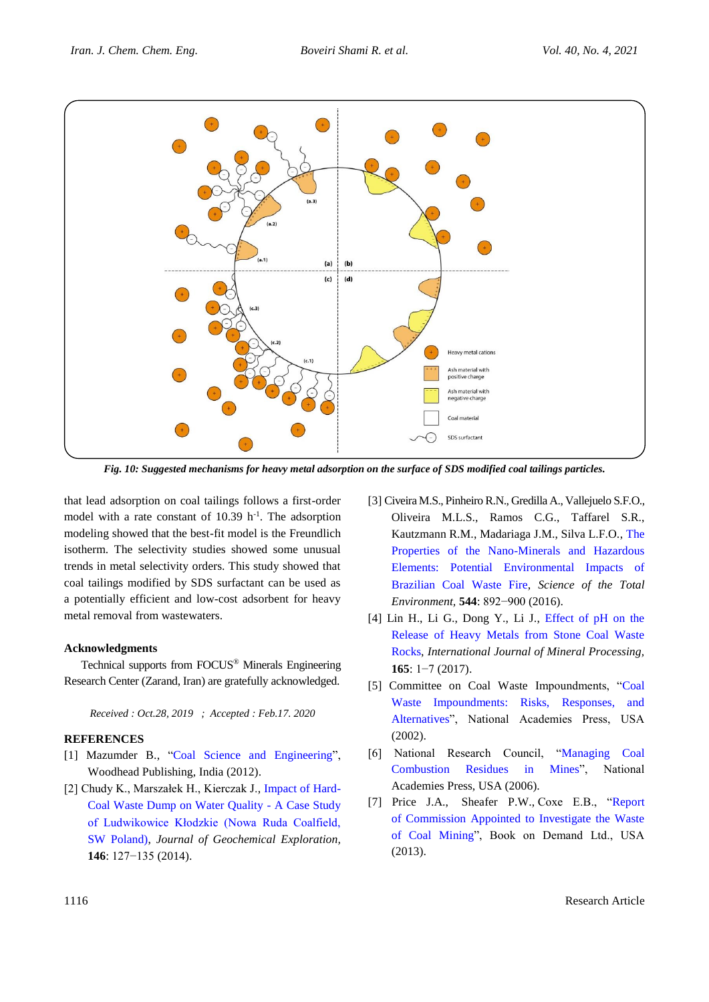

*Fig. 10: Suggested mechanisms for heavy metal adsorption on the surface of SDS modified coal tailings particles.*

that lead adsorption on coal tailings follows a first-order model with a rate constant of  $10.39$  h<sup>-1</sup>. The adsorption modeling showed that the best-fit model is the Freundlich isotherm. The selectivity studies showed some unusual trends in metal selectivity orders. This study showed that coal tailings modified by SDS surfactant can be used as a potentially efficient and low-cost adsorbent for heavy metal removal from wastewaters.

# **Acknowledgments**

Technical supports from FOCUS® Minerals Engineering Research Center (Zarand, Iran) are gratefully acknowledged.

*Received : Oct.28, 2019 ; Accepted : Feb.17. 2020*

# **REFERENCES**

- [1] Mazumder B., ["Coal Science and Engineering"](https://books.google.com/books/about/Coal_Science_and_Engineering.html?id=4YydMQEACAAJ), Woodhead Publishing, India (2012).
- [2] Chudy K., Marszałek H., Kierczak J., [Impact of Hard-](http://www.sciencedirect.com/science/article/pii/S0375674214002982)[Coal Waste Dump on Water Quality -](http://www.sciencedirect.com/science/article/pii/S0375674214002982) A Case Study [of Ludwikowice Kłodzkie \(Nowa Ruda Coalfield,](http://www.sciencedirect.com/science/article/pii/S0375674214002982)  [SW Poland\),](http://www.sciencedirect.com/science/article/pii/S0375674214002982) *Journal of Geochemical Exploration,*  **146**: 127−135 (2014).
- [3] Civeira M.S., Pinheiro R.N., Gredilla A., Vallejuelo S.F.O., Oliveira M.L.S., Ramos C.G., Taffarel S.R., Kautzmann R.M., Madariaga J.M., Silva L.F.O., [The](http://www.sciencedirect.com/science/article/pii/S0048969715311839?via%3Dihub)  [Properties of the Nano-Minerals and Hazardous](http://www.sciencedirect.com/science/article/pii/S0048969715311839?via%3Dihub)  [Elements: Potential Environmental Impacts of](http://www.sciencedirect.com/science/article/pii/S0048969715311839?via%3Dihub)  [Brazilian Coal Waste Fire,](http://www.sciencedirect.com/science/article/pii/S0048969715311839?via%3Dihub) *Science of the Total Environment,* **544**: 892−900 (2016).
- [4] Lin H., Li G., Dong Y., Li J., [Effect of pH on the](http://www.sciencedirect.com/science/article/pii/S0301751617300911)  [Release of Heavy Metals from Stone Coal Waste](http://www.sciencedirect.com/science/article/pii/S0301751617300911)  [Rocks,](http://www.sciencedirect.com/science/article/pii/S0301751617300911) *International Journal of Mineral Processing,*  **165**: 1−7 (2017).
- [5] Committee on Coal Waste Impoundments, ["Coal](https://www.nap.edu/catalog/10212/coal-waste-impoundments-risks-responses-and-alternatives)  [Waste Impoundments: Risks, Responses, and](https://www.nap.edu/catalog/10212/coal-waste-impoundments-risks-responses-and-alternatives)  [Alternatives"](https://www.nap.edu/catalog/10212/coal-waste-impoundments-risks-responses-and-alternatives), National Academies Press, USA (2002).
- [6] National Research Council, ["Managing Coal](https://www.nap.edu/catalog/11592/managing-coal-combustion-residues-in-mines)  [Combustion Residues in Mines"](https://www.nap.edu/catalog/11592/managing-coal-combustion-residues-in-mines), National Academies Press, USA (2006).
- [7] Price J.A., Sheafer P.W., Coxe E.B., ["Report](https://www.si.edu/object/siris_sil_199375)  [of Commission Appointed to Investigate the Waste](https://www.si.edu/object/siris_sil_199375)  [of Coal Mining"](https://www.si.edu/object/siris_sil_199375), Book on Demand Ltd., USA (2013).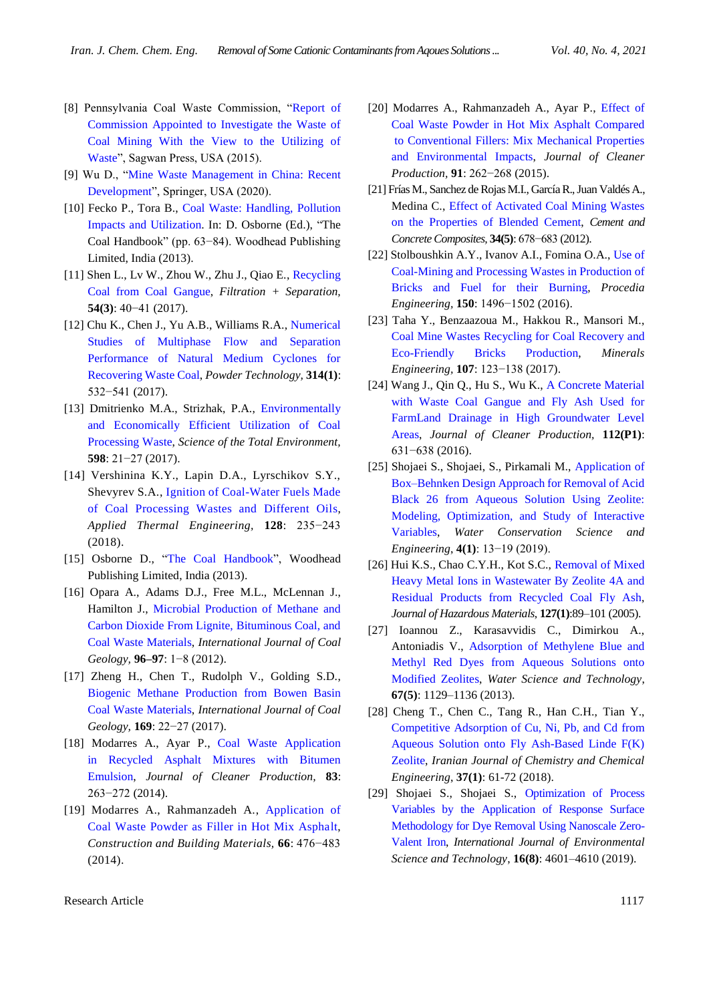- [8] Pennsylvania Coal Waste Commission, ["Report of](https://trove.nla.gov.au/work/1008648?selectedversion=NBD27337765)  [Commission Appointed to Investigate the Waste of](https://trove.nla.gov.au/work/1008648?selectedversion=NBD27337765)  [Coal Mining With the View to the Utilizing of](https://trove.nla.gov.au/work/1008648?selectedversion=NBD27337765)  [Waste"](https://trove.nla.gov.au/work/1008648?selectedversion=NBD27337765), Sagwan Press, USA (2015).
- [9] Wu D., ["Mine Waste Management in China: Recent](https://books.google.com/books/about/Mine_Waste_Management_in_China_Recent_De.html?id=tl6mDwAAQBAJ&source=kp_book_description)  [Development"](https://books.google.com/books/about/Mine_Waste_Management_in_China_Recent_De.html?id=tl6mDwAAQBAJ&source=kp_book_description), Springer, USA (2020).
- [10] Fecko P., Tora B., [Coal Waste: Handling, Pollution](https://books.google.com/books?id=_uFeAgAAQBAJ&pg=PA63&lpg=PA63&dq=Coal+waste:+handling,+pollution+impacts+and+utilization&source=bl&ots=stUp9LXdSW&sig=qxRDG5KsQ8U8s5ilw2MGO-5ywAw&hl=en&sa=X&ved=0ahUKEwiO0u3eptXXAhVGM5oKHVtpDVYQ6AEIKzAA#v=onepage&q=Coal%20waste%3A%20handling%2C%20pollution%20impacts%20and%20utilization&f=false)  [Impacts and Utilization.](https://books.google.com/books?id=_uFeAgAAQBAJ&pg=PA63&lpg=PA63&dq=Coal+waste:+handling,+pollution+impacts+and+utilization&source=bl&ots=stUp9LXdSW&sig=qxRDG5KsQ8U8s5ilw2MGO-5ywAw&hl=en&sa=X&ved=0ahUKEwiO0u3eptXXAhVGM5oKHVtpDVYQ6AEIKzAA#v=onepage&q=Coal%20waste%3A%20handling%2C%20pollution%20impacts%20and%20utilization&f=false) In: D. Osborne (Ed.), "The Coal Handbook" (pp. 63−84). Woodhead Publishing Limited, India (2013).
- [11] Shen L., Lv W., Zhou W., Zhu J., Qiao E., [Recycling](http://www.sciencedirect.com/science/article/pii/S0015188217301350)  [Coal from Coal Gangue,](http://www.sciencedirect.com/science/article/pii/S0015188217301350) *Filtration + Separation,*  **54(3)**: 40−41 (2017).
- [12] Chu K., Chen J., Yu A.B., Williams R.A., [Numerical](http://www.sciencedirect.com/science/article/pii/S003259101630729X)  [Studies of Multiphase Flow and Separation](http://www.sciencedirect.com/science/article/pii/S003259101630729X)  [Performance of Natural Medium Cyclones for](http://www.sciencedirect.com/science/article/pii/S003259101630729X)  [Recovering Waste Coal,](http://www.sciencedirect.com/science/article/pii/S003259101630729X) *Powder Technology,* **314(1)**: 532−541 (2017).
- [13] Dmitrienko M.A., Strizhak, P.A., Environmentally [and Economically Efficient Utilization of Coal](http://www.sciencedirect.com/science/article/pii/S0048969717309725?via%3Dihub)  [Processing Waste,](http://www.sciencedirect.com/science/article/pii/S0048969717309725?via%3Dihub) *Science of the Total Environment,*  **598**: 21−27 (2017).
- [14] Vershinina K.Y., Lapin D.A., Lyrschikov S.Y., Shevyrev S.A., [Ignition of Coal-Water Fuels Made](http://www.sciencedirect.com/science/article/pii/S1359431117302168)  [of Coal Processing Wastes and Different Oils,](http://www.sciencedirect.com/science/article/pii/S1359431117302168) *Applied Thermal Engineering,* **128**: 235−243 (2018).
- [15] Osborne D., ["The Coal Handbook"](https://books.google.com/books/about/The_Coal_Handbook_Towards_Cleaner_Produc.html?id=_uFeAgAAQBAJ), Woodhead Publishing Limited, India (2013).
- [16] Opara A., Adams D.J., Free M.L., McLennan J., Hamilton J., [Microbial Production of Methane and](http://www.sciencedirect.com/science/article/pii/S0166516212000559)  [Carbon Dioxide From Lignite, Bituminous Coal, and](http://www.sciencedirect.com/science/article/pii/S0166516212000559)  [Coal Waste Materials,](http://www.sciencedirect.com/science/article/pii/S0166516212000559) *International Journal of Coal Geology,* **96–97**: 1−8 (2012).
- [17] Zheng H., Chen T., Rudolph V., Golding S.D., [Biogenic Methane Production from Bowen Basin](http://www.sciencedirect.com/science/article/pii/S0166516216301975)  [Coal Waste Materials,](http://www.sciencedirect.com/science/article/pii/S0166516216301975) *International Journal of Coal Geology,* **169**: 22−27 (2017).
- [18] Modarres A., Ayar P., [Coal Waste Application](http://www.sciencedirect.com/science/article/pii/S0959652614008191)  [in Recycled Asphalt Mixtures with Bitumen](http://www.sciencedirect.com/science/article/pii/S0959652614008191)  [Emulsion,](http://www.sciencedirect.com/science/article/pii/S0959652614008191) *Journal of Cleaner Production,* **83**: 263−272 (2014).
- [19] Modarres A., Rahmanzadeh A., [Application of](http://www.sciencedirect.com/science/article/pii/S0950061814006060)  [Coal Waste Powder as Filler in Hot Mix Asphalt,](http://www.sciencedirect.com/science/article/pii/S0950061814006060) *Construction and Building Materials,* **66**: 476−483 (2014).
- [20] Modarres A., Rahmanzadeh A., Ayar P., [Effect of](http://www.sciencedirect.com/science/article/pii/S095965261401292X)  [Coal Waste Powder in Hot Mix Asphalt Compared](http://www.sciencedirect.com/science/article/pii/S095965261401292X) [to Conventional Fillers: Mix Mechanical Properties](http://www.sciencedirect.com/science/article/pii/S095965261401292X)  [and Environmental Impacts,](http://www.sciencedirect.com/science/article/pii/S095965261401292X) *Journal of Cleaner Production,* **91**: 262−268 (2015).
- [21] Frías M., Sanchez de Rojas M.I., García R., Juan Valdés A., Medina C., [Effect of Activated Coal Mining Wastes](http://www.sciencedirect.com/science/article/pii/S0958946512000339)  [on the Properties of Blended Cement,](http://www.sciencedirect.com/science/article/pii/S0958946512000339) *Cement and Concrete Composites,* **34(5)**: 678−683 (2012).
- [22] Stolboushkin A.Y., Ivanov A.I., Fomina O.A., [Use of](http://www.sciencedirect.com/science/article/pii/S1877705816313984)  [Coal-Mining and Processing Wastes in Production of](http://www.sciencedirect.com/science/article/pii/S1877705816313984)  [Bricks and Fuel for their Burning,](http://www.sciencedirect.com/science/article/pii/S1877705816313984) *Procedia Engineering,* **150**: 1496−1502 (2016).
- [23] Taha Y., Benzaazoua M., Hakkou R., Mansori M., [Coal Mine Wastes Recycling for Coal Recovery and](http://www.sciencedirect.com/science/article/pii/S0892687516302965)  [Eco-Friendly Bricks Production,](http://www.sciencedirect.com/science/article/pii/S0892687516302965) *Minerals Engineering,* **107**: 123−138 (2017).
- [24] Wang J., Qin Q., Hu S., Wu K., [A Concrete Material](http://www.sciencedirect.com/science/article/pii/S0959652615010690)  [with Waste Coal Gangue and Fly Ash Used for](http://www.sciencedirect.com/science/article/pii/S0959652615010690)  [FarmLand Drainage in High Groundwater Level](http://www.sciencedirect.com/science/article/pii/S0959652615010690)  [Areas,](http://www.sciencedirect.com/science/article/pii/S0959652615010690) *Journal of Cleaner Production,* **112(P1)**: 631−638 (2016).
- [25] Shojaei S., Shojaei, S., Pirkamali M., [Application of](https://link.springer.com/article/10.1007/s41101-019-00064-7)  [Box–Behnken Design Approach for Removal of Acid](https://link.springer.com/article/10.1007/s41101-019-00064-7)  [Black 26 from Aqueous Solution Using Zeolite:](https://link.springer.com/article/10.1007/s41101-019-00064-7)  [Modeling, Optimization, and Study of Interactive](https://link.springer.com/article/10.1007/s41101-019-00064-7)  [Variables,](https://link.springer.com/article/10.1007/s41101-019-00064-7) *Water Conservation Science and Engineering*, **4(1)**: 13−19 (2019).
- [26] Hui K.S., Chao C.Y.H., Kot S.C., Removal of Mixed [Heavy Metal Ions in Wastewater By Zeolite 4A and](https://www.sciencedirect.com/science/article/abs/pii/S0304389405003547)  [Residual Products from Recycled Coal Fly Ash,](https://www.sciencedirect.com/science/article/abs/pii/S0304389405003547) *Journal of Hazardous Materials*, **127(1)**:89–101 (2005).
- [27] Ioannou Z., Karasavvidis C., Dimirkou A., Antoniadis V., [Adsorption of Methylene Blue and](https://iwaponline.com/wst/article-pdf/67/5/1129/441727/1129)  [Methyl Red Dyes from Aqueous Solutions onto](https://iwaponline.com/wst/article-pdf/67/5/1129/441727/1129)  [Modified Zeolites,](https://iwaponline.com/wst/article-pdf/67/5/1129/441727/1129) *Water Science and Technology*, **67(5)**: 1129–1136 (2013).
- [28] Cheng T., Chen C., Tang R., Han C.H., Tian Y., [Competitive Adsorption of Cu, Ni, Pb, and Cd](http://www.ijcce.ac.ir/article_31971.html) from [Aqueous Solution onto Fly Ash-Based Linde F\(K\)](http://www.ijcce.ac.ir/article_31971.html)  [Zeolite,](http://www.ijcce.ac.ir/article_31971.html) *Iranian Journal of Chemistry and Chemical Engineering*, **37(1)**: 61-72 (2018).
- [29] Shojaei S., Shojaei S., [Optimization of Process](https://link.springer.com/article/10.1007/s13762-018-1866-9)  [Variables by the Application of Response Surface](https://link.springer.com/article/10.1007/s13762-018-1866-9)  [Methodology for Dye Removal Using Nanoscale Zero-](https://link.springer.com/article/10.1007/s13762-018-1866-9)[Valent Iron,](https://link.springer.com/article/10.1007/s13762-018-1866-9) *International Journal of Environmental Science and Technology*, **16(8)**: 4601–4610 (2019).

Research Article 1117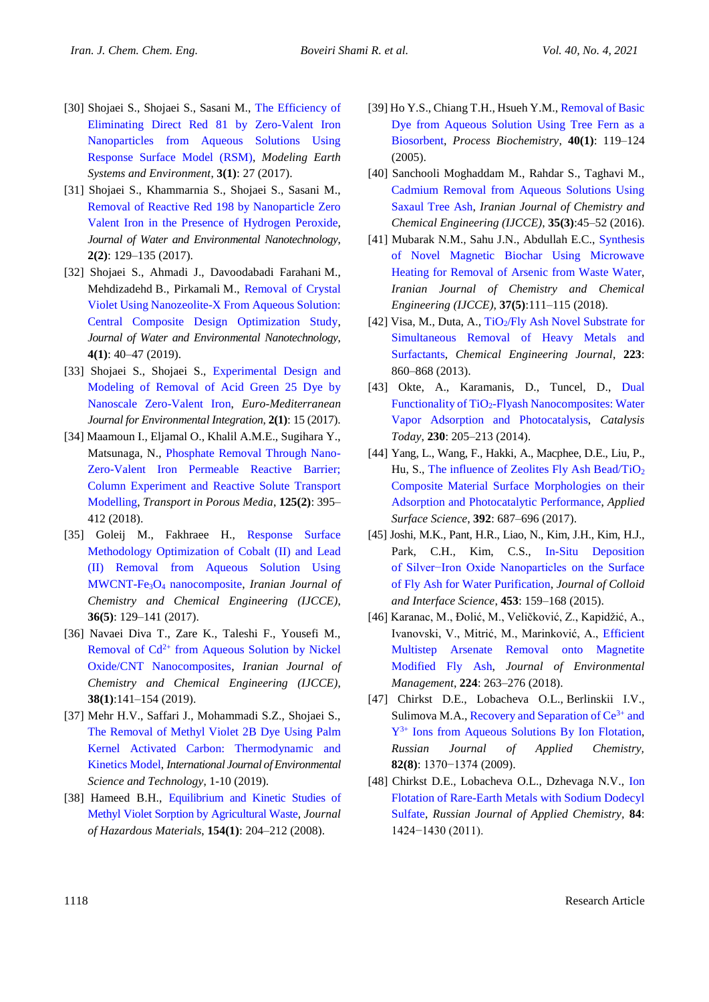- [30] Shojaei S., Shojaei S., Sasani M., [The Efficiency of](https://link.springer.com/article/10.1007/s40808-017-0287-y)  [Eliminating Direct Red 81 by Zero-Valent Iron](https://link.springer.com/article/10.1007/s40808-017-0287-y)  [Nanoparticles from Aqueous Solutions Using](https://link.springer.com/article/10.1007/s40808-017-0287-y)  [Response Surface Model \(RSM\),](https://link.springer.com/article/10.1007/s40808-017-0287-y) *Modeling Earth Systems and Environment*, **3(1)**: 27 (2017).
- [31] Shojaei S., Khammarnia S., Shojaei S., Sasani M., [Removal of Reactive Red 198 by Nanoparticle Zero](http://www.jwent.net/article_25279_9a5bf2bfc1648566399ec44f6dbd4f34)  [Valent Iron in the Presence of Hydrogen Peroxide,](http://www.jwent.net/article_25279_9a5bf2bfc1648566399ec44f6dbd4f34) *Journal of Water and Environmental Nanotechnology*, **2(2)**: 129–135 (2017).
- [32] Shojaei S., Ahmadi J., Davoodabadi Farahani M., Mehdizadehd B., Pirkamali M., [Removal of Crystal](http://www.jwent.net/article_34598.html)  [Violet Using Nanozeolite-X From Aqueous Solution:](http://www.jwent.net/article_34598.html)  [Central Composite Design Optimization Study,](http://www.jwent.net/article_34598.html) *Journal of Water and Environmental Nanotechnology*, **4(1)**: 40–47 (2019).
- [33] Shojaei S., Shojaei S., [Experimental Design and](https://link.springer.com/article/10.1007/s41207-017-0026-9)  [Modeling of Removal of Acid Green 25 Dye by](https://link.springer.com/article/10.1007/s41207-017-0026-9)  [Nanoscale Zero-Valent Iron,](https://link.springer.com/article/10.1007/s41207-017-0026-9) *Euro-Mediterranean Journal for Environmental Integration*, **2(1)**: 15 (2017).
- [34] Maamoun I., Eljamal O., Khalil A.M.E., Sugihara Y., Matsunaga, N., [Phosphate Removal Through Nano-](https://link.springer.com/article/10.1007/s11242-018-1124-0)[Zero-Valent Iron Permeable Reactive Barrier;](https://link.springer.com/article/10.1007/s11242-018-1124-0)  [Column Experiment and Reactive Solute Transport](https://link.springer.com/article/10.1007/s11242-018-1124-0)  [Modelling,](https://link.springer.com/article/10.1007/s11242-018-1124-0) *Transport in Porous Media*, **125(2)**: 395– 412 (2018).
- [35] Goleij M., Fakhraee H., [Response Surface](http://www.ijcce.ac.ir/article_25481.html)  [Methodology Optimization of Cobalt \(II\) and Lead](http://www.ijcce.ac.ir/article_25481.html)  [\(II\) Removal from Aqueous Solution Using](http://www.ijcce.ac.ir/article_25481.html) MWCNT-Fe3O<sup>4</sup> [nanocomposite,](http://www.ijcce.ac.ir/article_25481.html) *Iranian Journal of Chemistry and Chemical Engineering (IJCCE)*, **36(5)**: 129–141 (2017).
- [36] Navaei Diva T., Zare K., Taleshi F., Yousefi M., Removal of  $Cd^{2+}$  from Aqueous Solution by Nickel [Oxide/CNT Nanocomposites,](http://www.ijcce.ac.ir/article_30130.html) *Iranian Journal of Chemistry and Chemical Engineering (IJCCE)*, **38(1)**:141–154 (2019).
- [37] Mehr H.V., Saffari J., Mohammadi S.Z., Shojaei S., [The Removal of Methyl Violet 2B Dye Using Palm](https://link.springer.com/article/10.1007/s13762-019-02271-0)  [Kernel Activated Carbon: Thermodynamic and](https://link.springer.com/article/10.1007/s13762-019-02271-0)  [Kinetics Model,](https://link.springer.com/article/10.1007/s13762-019-02271-0) *International Journal of Environmental Science and Technology*, 1-10 (2019).
- [38] Hameed B.H., Equilibrium and Kinetic Studies of [Methyl Violet Sorption by Agricultural Waste,](https://www.sciencedirect.com/science/article/abs/pii/S0304389407014276) *Journal of Hazardous Materials*, **154(1)**: 204–212 (2008).
- [39] Ho Y.S., Chiang T.H., Hsueh Y.M., [Removal of Basic](https://www.sciencedirect.com/science/article/pii/S0032959203004588)  [Dye from Aqueous Solution Using Tree Fern as a](https://www.sciencedirect.com/science/article/pii/S0032959203004588) [Biosorbent,](https://www.sciencedirect.com/science/article/pii/S0032959203004588) *Process Biochemistry*, **40(1)**: 119–124 (2005).
- [40] Sanchooli Moghaddam M., Rahdar S., Taghavi M., [Cadmium Removal from Aqueous Solutions Using](http://www.ijcce.ac.ir/article_22058.html)  [Saxaul Tree Ash,](http://www.ijcce.ac.ir/article_22058.html) *Iranian Journal of Chemistry and Chemical Engineering (IJCCE)*, **35(3)**:45–52 (2016).
- [41] Mubarak N.M., Sahu J.N., Abdullah E.C., [Synthesis](http://www.ijcce.ac.ir/article_35426.html)  [of Novel Magnetic Biochar Using Microwave](http://www.ijcce.ac.ir/article_35426.html)  [Heating for Removal of Arsenic from Waste Water,](http://www.ijcce.ac.ir/article_35426.html) *Iranian Journal of Chemistry and Chemical Engineering (IJCCE)*, **37(5)**:111–115 (2018).
- [42] Visa, M., Duta, A.,  $TiO<sub>2</sub>/Fly$  Ash Novel Substrate for [Simultaneous Removal of Heavy Metals and](https://www.sciencedirect.com/science/article/pii/S1385894713003872)  [Surfactants,](https://www.sciencedirect.com/science/article/pii/S1385894713003872) *Chemical Engineering Journal*, **223**: 860–868 (2013).
- [43] Okte, A., Karamanis, D., Tuncel, D., Dual Functionality of TiO2[-Flyash Nanocomposites: Water](https://www.sciencedirect.com/science/article/abs/pii/S0920586114000662)  [Vapor Adsorption and Photocatalysis,](https://www.sciencedirect.com/science/article/abs/pii/S0920586114000662) *Catalysis Today*, **230**: 205–213 (2014).
- [44] Yang, L., Wang, F., Hakki, A., Macphee, D.E., Liu, P., Hu, S., [The influence of Zeolites Fly Ash Bead/TiO](https://www.sciencedirect.com/science/article/abs/pii/S0169433216318918)<sub>2</sub> [Composite Material Surface Morphologies on their](https://www.sciencedirect.com/science/article/abs/pii/S0169433216318918)  [Adsorption and Photocatalytic Performance,](https://www.sciencedirect.com/science/article/abs/pii/S0169433216318918) *Applied Surface Science*, **392**: 687–696 (2017).
- [45] Joshi, M.K., Pant, H.R., Liao, N., Kim, J.H., Kim, H.J., Park, C.H., Kim, C.S., [In-Situ Deposition](https://www.sciencedirect.com/science/article/abs/pii/S002197971500421X)  [of Silver−Iron Oxide Nanoparticles on the Surface](https://www.sciencedirect.com/science/article/abs/pii/S002197971500421X)  [of Fly Ash for Water Purification,](https://www.sciencedirect.com/science/article/abs/pii/S002197971500421X) *Journal of Colloid and Interface Science*, **453**: 159–168 (2015).
- [46] Karanac, M., Đolić, M., Veličković, Z., Kapidžić, A., Ivanovski, V., Mitrić, M., Marinković, A., [Efficient](https://www.ncbi.nlm.nih.gov/pubmed/30055459)  [Multistep Arsenate Removal onto Magnetite](https://www.ncbi.nlm.nih.gov/pubmed/30055459)  [Modified Fly Ash,](https://www.ncbi.nlm.nih.gov/pubmed/30055459) *Journal of Environmental Management*, **224**: 263–276 (2018).
- [47] Chirkst D.E., Lobacheva O.L., Berlinskii I.V., Sulimova M.A., Recovery and Separation of  $Ce^{3+}$  and Y3+ [Ions from Aqueous Solutions By Ion Flotation,](https://link.springer.com/article/10.1134/S1070427209080096) *Russian Journal of Applied Chemistry,*  **82(8)**: 1370−1374 (2009).
- [48] Chirkst D.E., Lobacheva O.L., Dzhevaga N.V., [Ion](https://link.springer.com/article/10.1134/S1070427211090035)  [Flotation of Rare-Earth Metals with Sodium Dodecyl](https://link.springer.com/article/10.1134/S1070427211090035)  [Sulfate,](https://link.springer.com/article/10.1134/S1070427211090035) *Russian Journal of Applied Chemistry,* **84**: 1424−1430 (2011).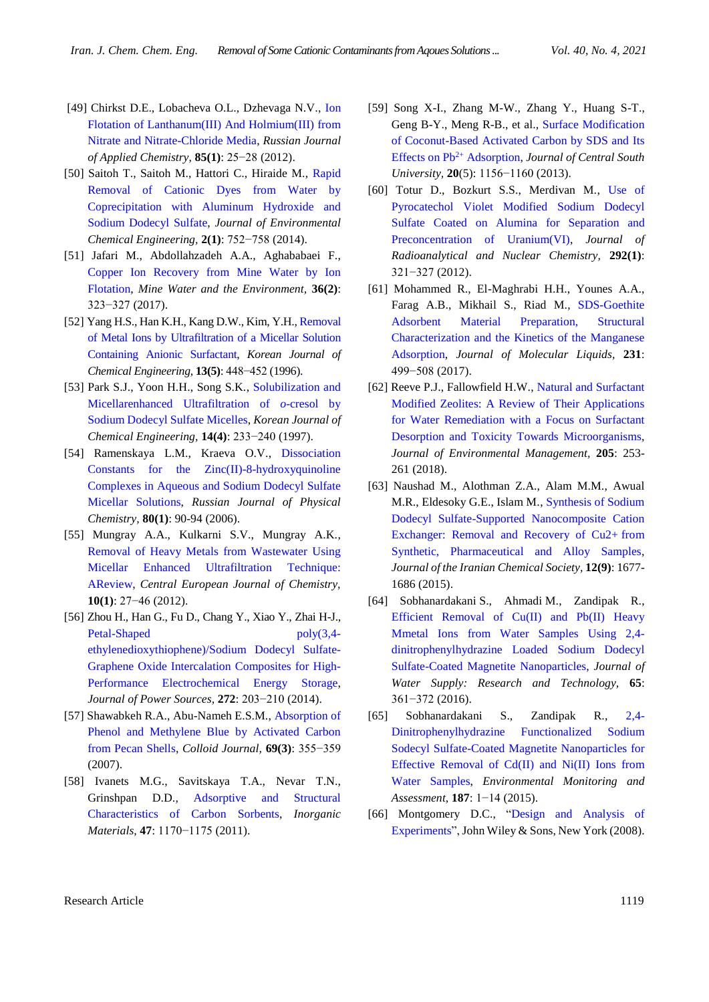- [49] Chirkst D.E., Lobacheva O.L., Dzhevaga N.V., [Ion](https://link.springer.com/article/10.1134/S1070427212010053)  [Flotation of Lanthanum\(III\) And Holmium\(III\) from](https://link.springer.com/article/10.1134/S1070427212010053)  [Nitrate and Nitrate-Chloride Media,](https://link.springer.com/article/10.1134/S1070427212010053) *Russian Journal of Applied Chemistry,* **85(1)**: 25−28 (2012).
- [50] Saitoh T., Saitoh M., Hattori C., Hiraide M., [Rapid](http://www.sciencedirect.com/science/article/pii/S2213343713002303)  [Removal of Cationic Dyes from Water by](http://www.sciencedirect.com/science/article/pii/S2213343713002303)  [Coprecipitation with Aluminum Hydroxide and](http://www.sciencedirect.com/science/article/pii/S2213343713002303)  [Sodium Dodecyl Sulfate,](http://www.sciencedirect.com/science/article/pii/S2213343713002303) *Journal of Environmental Chemical Engineering,* **2(1)**: 752−758 (2014).
- [51] Jafari M., Abdollahzadeh A.A., Aghababaei F., [Copper Ion Recovery from Mine Water by Ion](https://link.springer.com/article/10.1007/s10230-016-0408-2)  [Flotation,](https://link.springer.com/article/10.1007/s10230-016-0408-2) *Mine Water and the Environment,* **36(2)**: 323−327 (2017).
- [52] Yang H.S., Han K.H., Kang D.W., Kim, Y.H., [Removal](https://link.springer.com/article/10.1007/BF02705992)  [of Metal Ions by Ultrafiltration of a Micellar Solution](https://link.springer.com/article/10.1007/BF02705992)  [Containing Anionic Surfactant,](https://link.springer.com/article/10.1007/BF02705992) *Korean Journal of Chemical Engineering,* **13(5)**: 448−452 (1996).
- [53] Park S.J., Yoon H.H., Song S.K., Solubilization and [Micellarenhanced Ultrafiltration of](https://link.springer.com/article/10.1007/BF02706817) *o*-cresol by [Sodium Dodecyl Sulfate Micelles,](https://link.springer.com/article/10.1007/BF02706817) *Korean Journal of Chemical Engineering,* **14(4)**: 233−240 (1997).
- [54] Ramenskaya L.M., Kraeva O.V., [Dissociation](https://link.springer.com/article/10.1134/S0036024406010146)  [Constants for the Zinc\(II\)-8-hydroxyquinoline](https://link.springer.com/article/10.1134/S0036024406010146)  [Complexes in Aqueous and Sodium Dodecyl Sulfate](https://link.springer.com/article/10.1134/S0036024406010146)  [Micellar Solutions,](https://link.springer.com/article/10.1134/S0036024406010146) *Russian Journal of Physical Chemistry,* **80(1)**: 90-94 (2006).
- [55] Mungray A.A., Kulkarni S.V., Mungray A.K., [Removal of Heavy Metals from Wastewater Using](https://link.springer.com/article/10.2478/s11532-011-0134-3)  [Micellar Enhanced Ultrafiltration Technique:](https://link.springer.com/article/10.2478/s11532-011-0134-3)  [AReview,](https://link.springer.com/article/10.2478/s11532-011-0134-3) *Central European Journal of Chemistry,*  **10(1)**: 27−46 (2012).
- [56] Zhou H., Han G., Fu D., Chang Y., Xiao Y., Zhai H-J., [Petal-Shaped poly\(3,4](http://www.sciencedirect.com/science/article/pii/S037877531401338X) [ethylenedioxythiophene\)/Sodium Dodecyl Sulfate-](http://www.sciencedirect.com/science/article/pii/S037877531401338X)[Graphene Oxide Intercalation Composites for](http://www.sciencedirect.com/science/article/pii/S037877531401338X) High-[Performance Electrochemical Energy Storage,](http://www.sciencedirect.com/science/article/pii/S037877531401338X) *Journal of Power Sources,* **272**: 203−210 (2014).
- [57] Shawabkeh R.A., Abu-Nameh E.S.M., [Absorption of](https://link.springer.com/article/10.1134/S1061933X07030143)  [Phenol and Methylene Blue by Activated Carbon](https://link.springer.com/article/10.1134/S1061933X07030143)  [from Pecan Shells,](https://link.springer.com/article/10.1134/S1061933X07030143) *Colloid Journal,* **69(3)**: 355−359 (2007).
- [58] Ivanets M.G., Savitskaya T.A., Nevar T.N., Grinshpan D.D., [Adsorptive and Structural](https://link.springer.com/article/10.1134/S0020168511100098)  [Characteristics of Carbon Sorbents,](https://link.springer.com/article/10.1134/S0020168511100098) *Inorganic Materials,* **47**: 1170−1175 (2011).
- [59] Song X-I., Zhang M-W., Zhang Y., Huang S-T., Geng B-Y., Meng R-B., et al., [Surface Modification](https://link.springer.com/article/10.1007/s11771-013-1598-4)  [of Coconut-Based Activated Carbon by SDS and Its](https://link.springer.com/article/10.1007/s11771-013-1598-4)  [Effects on Pb](https://link.springer.com/article/10.1007/s11771-013-1598-4)2+ Adsorption, *Journal of Central South University,* **20**(5): 1156−1160 (2013).
- [60] Totur D., Bozkurt S.S., Merdivan M., [Use of](https://link.springer.com/article/10.1007/s10967-011-1410-6)  [Pyrocatechol Violet Modified Sodium Dodecyl](https://link.springer.com/article/10.1007/s10967-011-1410-6)  [Sulfate Coated on Alumina for Separation and](https://link.springer.com/article/10.1007/s10967-011-1410-6)  [Preconcentration of Uranium\(VI\),](https://link.springer.com/article/10.1007/s10967-011-1410-6) *Journal of Radioanalytical and Nuclear Chemistry,* **292(1)**: 321−327 (2012).
- [61] Mohammed R., El-Maghrabi H.H., Younes A.A., Farag A.B., Mikhail S., Riad M., [SDS-Goethite](http://www.sciencedirect.com/science/article/pii/S016773221633344X)  [Adsorbent Material Preparation, Structural](http://www.sciencedirect.com/science/article/pii/S016773221633344X)  [Characterization and the Kinetics of the Manganese](http://www.sciencedirect.com/science/article/pii/S016773221633344X)  [Adsorption,](http://www.sciencedirect.com/science/article/pii/S016773221633344X) *Journal of Molecular Liquids,* **231**: 499−508 (2017).
- [62] Reeve P.J., Fallowfield H.W., Natural and Surfactant [Modified Zeolites: A Review of Their Applications](http://www.sciencedirect.com/science/article/pii/S0301479717309465?via%3Dihub)  [for Water Remediation with a Focus on Surfactant](http://www.sciencedirect.com/science/article/pii/S0301479717309465?via%3Dihub)  [Desorption and Toxicity Towards Microorganisms,](http://www.sciencedirect.com/science/article/pii/S0301479717309465?via%3Dihub) *Journal of Environmental Management,* **205**: 253- 261 (2018).
- [63] Naushad M., Alothman Z.A., Alam M.M., Awual M.R., Eldesoky G.E., Islam M., [Synthesis of Sodium](https://link.springer.com/article/10.1007/s13738-015-0642-8)  [Dodecyl Sulfate-Supported Nanocomposite Cation](https://link.springer.com/article/10.1007/s13738-015-0642-8)  [Exchanger: Removal and Recovery of Cu2+](https://link.springer.com/article/10.1007/s13738-015-0642-8) from [Synthetic, Pharmaceutical and Alloy Samples,](https://link.springer.com/article/10.1007/s13738-015-0642-8) *Journal of the Iranian Chemical Society,* **12(9)**: 1677- 1686 (2015).
- [64] Sobhanardakani S., Ahmadi M., Zandipak R., [Efficient Removal of Cu\(II\) and Pb\(II\) Heavy](http://aqua.iwaponline.com/content/early/2016/03/21/aqua.2016.100)  [Mmetal Ions from Water Samples Using 2,4](http://aqua.iwaponline.com/content/early/2016/03/21/aqua.2016.100) [dinitrophenylhydrazine Loaded Sodium Dodecyl](http://aqua.iwaponline.com/content/early/2016/03/21/aqua.2016.100)  [Sulfate-Coated Magnetite Nanoparticles,](http://aqua.iwaponline.com/content/early/2016/03/21/aqua.2016.100) *Journal of Water Supply: Research and Technology,* **65**: 361−372 (2016).
- [65] Sobhanardakani S., Zandipak R., [2,4-](https://link.springer.com/article/10.1007/s10661-015-4635-y) [Dinitrophenylhydrazine Functionalized Sodium](https://link.springer.com/article/10.1007/s10661-015-4635-y)  [Sodecyl Sulfate-Coated Magnetite Nanoparticles for](https://link.springer.com/article/10.1007/s10661-015-4635-y)  [Effective Removal of Cd\(II\) and Ni\(II\) Ions from](https://link.springer.com/article/10.1007/s10661-015-4635-y)  [Water Samples,](https://link.springer.com/article/10.1007/s10661-015-4635-y) *Environmental Monitoring and Assessment,* **187**: 1−14 (2015).
- [66] Montgomery D.C., "Design and Analysis of [Experiments"](https://books.google.com/books/about/Design_and_Analysis_of_Experiments.html?id=kMMJAm5bD34C), John Wiley & Sons, New York (2008).